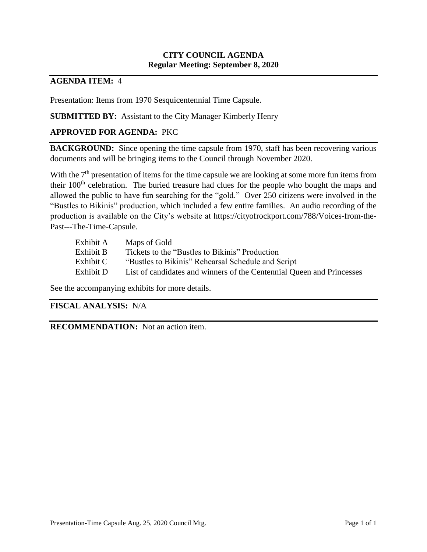## **CITY COUNCIL AGENDA Regular Meeting: September 8, 2020**

## **AGENDA ITEM:** 4

Presentation: Items from 1970 Sesquicentennial Time Capsule.

## **SUBMITTED BY:** Assistant to the City Manager Kimberly Henry

## **APPROVED FOR AGENDA:** PKC

**BACKGROUND:** Since opening the time capsule from 1970, staff has been recovering various documents and will be bringing items to the Council through November 2020.

With the  $7<sup>th</sup>$  presentation of items for the time capsule we are looking at some more fun items from their 100<sup>th</sup> celebration. The buried treasure had clues for the people who bought the maps and allowed the public to have fun searching for the "gold." Over 250 citizens were involved in the "Bustles to Bikinis" production, which included a few entire families. An audio recording of the production is available on the City's website at https://cityofrockport.com/788/Voices-from-the-Past---The-Time-Capsule.

| List of candidates and winners of the Centennial Queen and Princesses |
|-----------------------------------------------------------------------|
|                                                                       |

See the accompanying exhibits for more details.

## **FISCAL ANALYSIS:** N/A

**RECOMMENDATION:** Not an action item.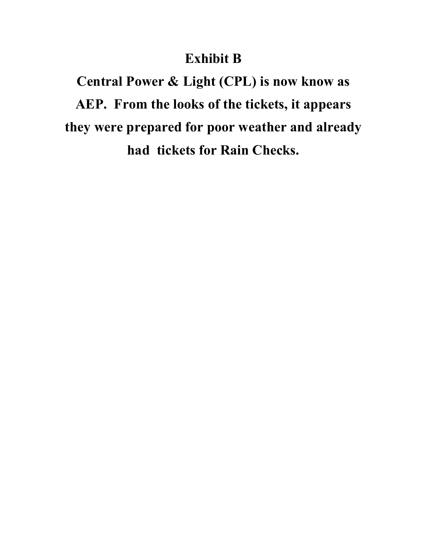## **Exhibit B**

**Central Power & Light (CPL) is now know as AEP. From the looks of the tickets, it appears they were prepared for poor weather and already had tickets for Rain Checks.**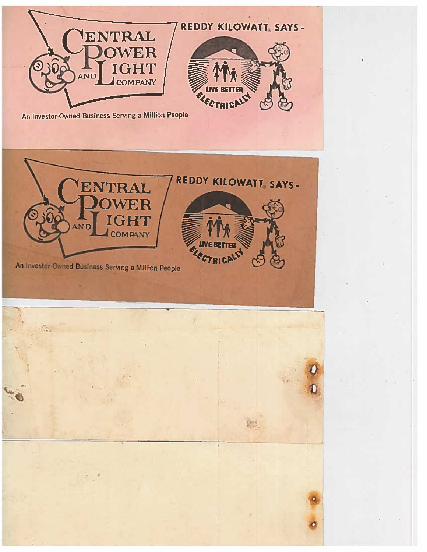



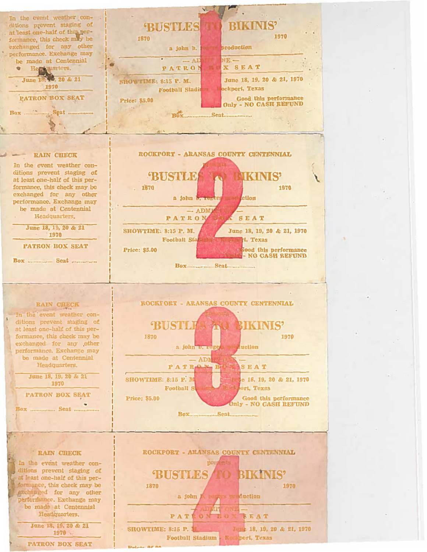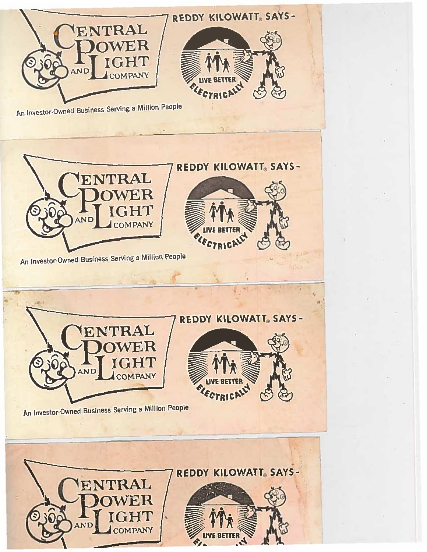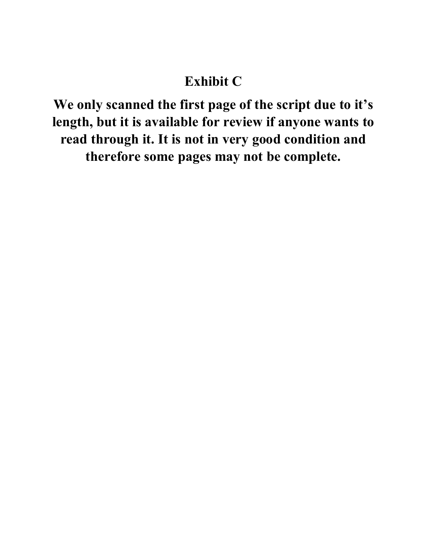# **Exhibit C**

**We only scanned the first page of the script due to it's length, but it is available for review if anyone wants to read through it. It is not in very good condition and therefore some pages may not be complete.**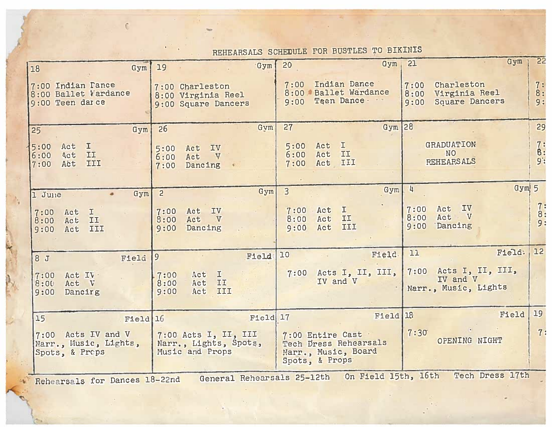| REHEARSALS SCHEDULE FOR BUSTLES TO BIKINIS |  |  |  |  |  |
|--------------------------------------------|--|--|--|--|--|
|--------------------------------------------|--|--|--|--|--|

 $\epsilon$ 

N.

 $\mathcal{L}^{\text{max}}$  .

| Gym  <br>18                                                                                           | Gym<br>19                                                        | Gym<br>20                                                                          | Gym<br>21                                                                    | 55                           |  |  |  |  |  |  |
|-------------------------------------------------------------------------------------------------------|------------------------------------------------------------------|------------------------------------------------------------------------------------|------------------------------------------------------------------------------|------------------------------|--|--|--|--|--|--|
| 7:00 Indian Pance<br>8:00 Ballet Vardance<br>9:00 Teen darce                                          | 7:00 Charleston<br>8:00 Virginia Reel<br>9:00 Square Dancers     | Indian Dance<br>7:00<br>8:00 Ballet Wardance<br>Teen Dance<br>9:00                 | Charleston<br>7:00<br>Virginia Reel<br>8:00<br><b>Square Dancers</b><br>9:00 | 7:<br>8:<br>9:               |  |  |  |  |  |  |
| Gym<br>25                                                                                             | Gym<br>26                                                        | Gym $ 28 $<br>27                                                                   |                                                                              | 29                           |  |  |  |  |  |  |
| I<br>Act<br>15:00<br>II<br>Act<br>6:00<br>III<br>Act<br>7:00                                          | IV<br>Act<br>5:00<br>Act<br>V<br>6:00<br>Dancing<br>7:00         | I.<br>Act<br>5:00<br>II<br>6:00<br>Act<br>III<br>Act<br>7:00                       | <b>GRADUATION</b><br><b>NO</b><br><b>REHEARSALS</b>                          | 7:8:<br>9:                   |  |  |  |  |  |  |
| Gym<br>1 June                                                                                         | Gym<br>$\overline{2}$                                            | Gym<br>$\overline{3}$                                                              | Gym 5<br>$\frac{1}{2}$                                                       |                              |  |  |  |  |  |  |
| I<br>Act<br>7:00<br>8:00<br>Act<br>II<br>Act<br>III<br>9:00                                           | IV<br>Act<br>7:00<br>Act<br>V<br>8:00<br>Dancing<br>9:00         | $\mathbb{I}$<br>Act<br>7:00<br>II<br>Act<br>8:00<br>III<br>Act<br>9:00             | IV<br>Act<br>7:00<br>Act<br>V<br>8:00<br>Dancing<br>9:00                     | 7:<br>$\overline{8}$ :<br>9: |  |  |  |  |  |  |
| 8 J<br>Field                                                                                          | Field<br>19                                                      | 10<br>Field                                                                        | Field:<br>11                                                                 | 12                           |  |  |  |  |  |  |
| Act IV<br>7:00<br>Act<br>$\sqrt{V}$<br>8:00<br>Dancing<br>9:00                                        | I<br>7:00<br>Act<br>Act<br>II<br>8:00<br>III<br>9:00<br>Act      | Acts I, II, III,<br>7:00<br>IV and V                                               | $7:00$ Acts I, II, III,<br>IV and V<br>Narr., Music, Lights                  |                              |  |  |  |  |  |  |
| 15<br>$F1e1d$ 16                                                                                      | Field <sup>17</sup>                                              | Field <sup>18</sup>                                                                | Field                                                                        | 19                           |  |  |  |  |  |  |
| 7:00 Acts IV and V<br>Narr., Music, Lights,<br>Spots, & Props                                         | 7:00 Acts I, II, III<br>Narr., Lights, Spots,<br>Music and Props | 7:00 Entire Cast<br>Tech Dress Rehearsals<br>Narr., Music, Board<br>Spots, & Props | 7:30<br>OPENING NIGHT                                                        | 7:                           |  |  |  |  |  |  |
| On Field 15th, 16th<br>Tech Dress 17th<br>General Rehearsals 25-12th<br>Rehearsals for Dances 18-22nd |                                                                  |                                                                                    |                                                                              |                              |  |  |  |  |  |  |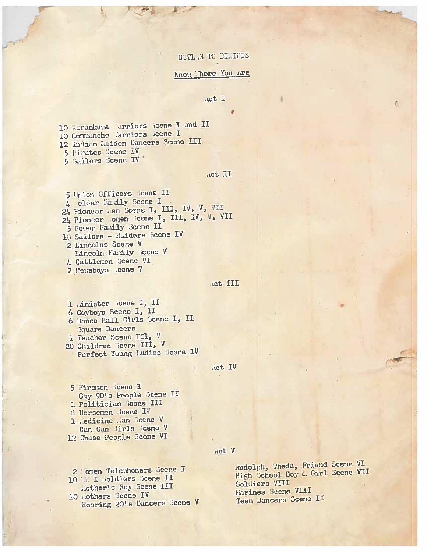## USTL S TO BIMITIS

### Know hore You Are

#### Act I

10 Karankaya arriors keene I and II 10 Communche l'arriors icene I 12 Indian Laiden Dancers Scene III 5 Pirates Scene IV 5 Sailors Scene IV

.ict II

5 Union Officers Icene II 4 elder Family Scene I 24 Fioneer I'm Scene I, III, IV, V, VII 24 Pioncer onen icene I, III, IV, V, VII 5 Power Family Scene II 10 Sailors - Ruiders Scene IV 2 Lincolns Scene V Lincoln Family Scene V 4 Cattlemen Scene VI 2 l'eusboys cene 7

Act III

1 .inister kene I, II 6 Coyboys Scene I, II 6 Dance Hall Cirls Scene I, II **Boulders** Dancers

1 Teacher Scene III, V

20 Children Scene III, V Perfect Young Ladies Scene IV

Act IV

5 Firemen Bcene I Gay 90's People Scene II 1 Politiciun Scene III **6 Horsenon Scene IV** 1. edicine .an Scene V Can Can Tirls Scene V 12 Chase People Scene VI

2 'orien Telephoners Scene I 10 I Joldiers Scene II Lother's Boy Scene III

10 athers Scene IV Roaring 20's Dancers Scene V Act V

dudolph, Theda, Friend Scene VI High School Boy & Girl Scene VII Soldiers VIII Marines Scene VIII Teen Dancers Scene IX

¢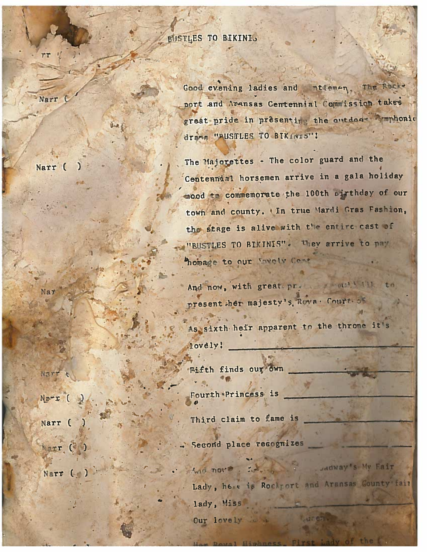BUSTLES TO BIKINIS

ntleman, The Rocke Good evening ladies and port and Avansas Centennial Commission takes great pride in presenting the outdoos comphonic drams "PUSTLES TO BIKINIS"!

The Majorettes - The color guard and the Centennial horsemen arrive in a gala holiday mood to commemorate the 100th pirthday of our town and county. In true Mardi Gras Fashion. the stage is alive with the entire cast of "BUSTLES TO BIKINIS". They arrive to pay homage to our vavely Cont

And now, with great pressure out the to present her majesty's Roya. Court of

As sixth heir apparent to the throne it's lovely!

**Fifth finds our own** 

Fourth Princess is

Third claim to fame is

Second place recognizes

. Jadway's My Eair wid not? Lady, here is Rockport and Aransas Gounty fair lady, Miss

**MADER** 

Our lovely is

Narr (

Narr

Narr t

 $Nz-z$  (

Narr (

arr (e

Narr  $(-)$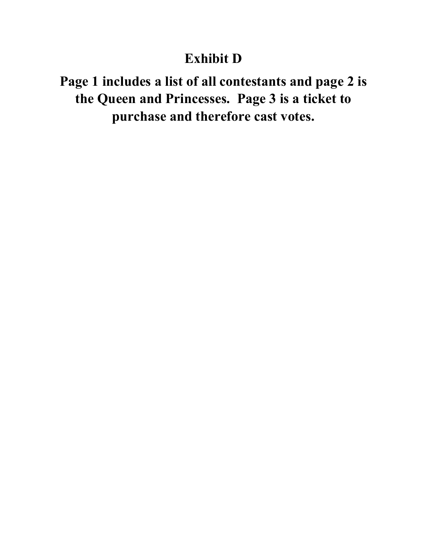## **Exhibit D**

**Page 1 includes a list of all contestants and page 2 is the Queen and Princesses. Page 3 is a ticket to purchase and therefore cast votes.**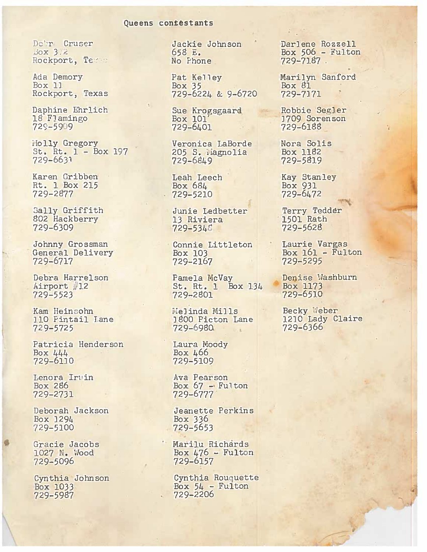### Queens contestants

Debr Cruser Box 3.2 Rockport, Te

Ada Demory Box 11 Rockport, Texas

Daphine Ehrlich 18 Flamingo 729-5909

Molly Gregory St. Rt.  $1 - Box 197$  $729 - 6631$ 

Karen Gribben Rt. 1 Box 215 729-2877

Sally Griffith 802 Hackberry 729-6309

Johnny Grossman General Delivery 729-6717

Debra Harrelson Airport #12 729-5523

Kam Heinsohn 110 Pintail Lane 729-5725

Patricia Henderson Box  $444$ 729-6110

Lenora Irvin Box 286 729-2731

Deborah Jackson Box 1294 729-5100

Gracie Jacobs 1027 N. Wood 729-5096

Cynthia Johnson Box 1033 729-5987

Jackie Johnson 658 E. No Phone

Pat Kelley Bo $x$  35 729-6224 & 9-6720

Sue Krogsgaard Box 101' 729-6401

Veronica LaBorde 205 S. Magnolia 729-6849

Leah Leech Box 684  $.729 - 5210$ 

> Junie Ledbetter 13 Riviera 729-5346

Connie Littleton Box 103 729-2167

Pamela McVay St. Rt. 1 Box 134 729-2801

Melinda Mills 1800 Picton Lane 729-6980  $-4$ 

Laura Moody Box 466 729-5109

Ava Pearson Box 67 - Fulton<br>729-6777

Jeanette Perkins Box 336 729-5653

Marilu Richards Box  $476$  - Fulton 729-6157

Cynthia Rouquette Box  $54$  - Fulton 729-2206

Darlene Rozzell<br>Box 506 - Fulton 729-7187.

Marilyn Sanford Box  $81$ 729-7171

Robbie Segler 1709 Sorenson 729-6188

Nora Solis Box 1182 729-5819

**Kay Stanley** Box 931 729-6472

Terry Tedder 1501 Rath 729-5628

Laurie Vargas Box  $161 -$  Fulton 729-5295

Denise Washburn Box 1173 729-6510

Becky Weber 1210 Lady Claire 729-6366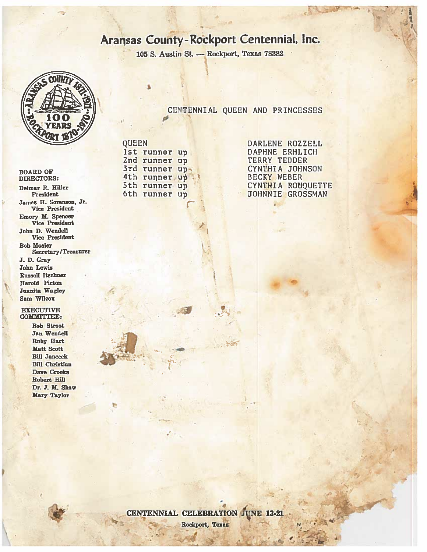## Aransas County-Rockport Centennial, Inc.

CENTENNIAL QUEEN AND PRINCESSES

105 S. Austin St. - Rockport, Texas 78382



**BOARD OF** DIRECTORS: Delmar R. Hiller President James H. Sorenson, Jr. Vice President Emory M. Spencer Vice President John D. Wendell Vice President **Bob Mosier Secretary/Treasurer** J. D. Gray **John Lewis Russell Itschner** Harold Picton **Juanita Wagley** Sam Wilcox

### **EXECUTIVE COMMITTEE:**

**Bob Stroot** Jan Wendell **Ruby Hart** Matt Scott **Bill Janecek Bill Christian** Dave Crooks Robert Hill Dr. J. M. Shaw Mary Taylor

**QUEEN** 1st runner up 2nd runner up 3rd runner up 4th runner up 5th runner up 6th runner up

DARLENE ROZZELL DAPHNE ERHLICH TERRY TEDDER CYNTHIA JOHNSON **BECKY WEBER** CYNTHIA ROUQUETTE **JOHNNIE GROSSMAN** 



CENTENNIAL CELEBRATION JUNE 13-21

Rockport, Texas